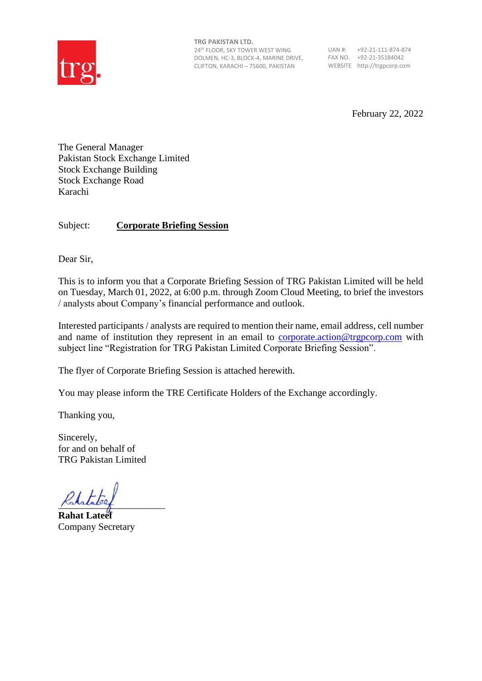

**TRG PAKISTAN LTD.** 24th FLOOR, SKY TOWER WEST WING DOLMEN, HC-3, BLOCK-4, MARINE DRIVE, CLIFTON, KARACHI – 75600, PAKISTAN

UAN #: +92-21-111-874-874 FAX NO. +92-21-35184042 WEBSITE http://trgpcorp.com

February 22, 2022

The General Manager Pakistan Stock Exchange Limited Stock Exchange Building Stock Exchange Road Karachi

## Subject: **Corporate Briefing Session**

Dear Sir,

This is to inform you that a Corporate Briefing Session of TRG Pakistan Limited will be held on Tuesday, March 01, 2022, at 6:00 p.m. through Zoom Cloud Meeting, to brief the investors / analysts about Company's financial performance and outlook.

Interested participants / analysts are required to mention their name, email address, cell number and name of institution they represent in an email to [corporate.action@trgpcorp.com](mailto:corporate.action@trgpcorp.com) with subject line "Registration for TRG Pakistan Limited Corporate Briefing Session".

The flyer of Corporate Briefing Session is attached herewith.

You may please inform the TRE Certificate Holders of the Exchange accordingly.

Thanking you,

Sincerely, for and on behalf of TRG Pakistan Limited

 $K$ ststatel $e$ 

**Rahat Lateef** Company Secretary